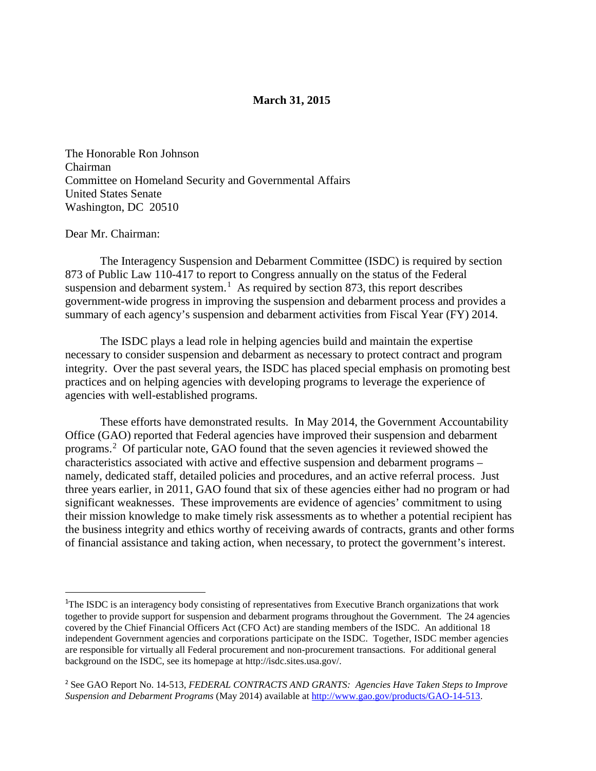#### **March 31, 2015**

The Honorable Ron Johnson Chairman Committee on Homeland Security and Governmental Affairs United States Senate Washington, DC 20510

#### Dear Mr. Chairman:

**.** 

The Interagency Suspension and Debarment Committee (ISDC) is required by section 873 of Public Law 110-417 to report to Congress annually on the status of the Federal suspension and debarment system.<sup>[1](#page-0-0)</sup> As required by section 873, this report describes government-wide progress in improving the suspension and debarment process and provides a summary of each agency's suspension and debarment activities from Fiscal Year (FY) 2014.

The ISDC plays a lead role in helping agencies build and maintain the expertise necessary to consider suspension and debarment as necessary to protect contract and program integrity. Over the past several years, the ISDC has placed special emphasis on promoting best practices and on helping agencies with developing programs to leverage the experience of agencies with well-established programs.

These efforts have demonstrated results. In May 2014, the Government Accountability Office (GAO) reported that Federal agencies have improved their suspension and debarment programs.<sup>[2](#page-0-1)</sup> Of particular note, GAO found that the seven agencies it reviewed showed the characteristics associated with active and effective suspension and debarment programs – namely, dedicated staff, detailed policies and procedures, and an active referral process. Just three years earlier, in 2011, GAO found that six of these agencies either had no program or had significant weaknesses. These improvements are evidence of agencies' commitment to using their mission knowledge to make timely risk assessments as to whether a potential recipient has the business integrity and ethics worthy of receiving awards of contracts, grants and other forms of financial assistance and taking action, when necessary, to protect the government's interest.

<span id="page-0-0"></span><sup>&</sup>lt;sup>1</sup>The ISDC is an interagency body consisting of representatives from Executive Branch organizations that work together to provide support for suspension and debarment programs throughout the Government. The 24 agencies covered by the Chief Financial Officers Act (CFO Act) are standing members of the ISDC. An additional 18 independent Government agencies and corporations participate on the ISDC. Together, ISDC member agencies are responsible for virtually all Federal procurement and non-procurement transactions. For additional general background on the ISDC, see its homepage at http://isdc.sites.usa.gov/.

<span id="page-0-1"></span><sup>2</sup> See GAO Report No. 14-513, *FEDERAL CONTRACTS AND GRANTS: Agencies Have Taken Steps to Improve Suspension and Debarment Programs* (May 2014) available at [http://www.gao.gov/products/GAO-14-513.](http://www.gao.gov/products/GAO-14-513)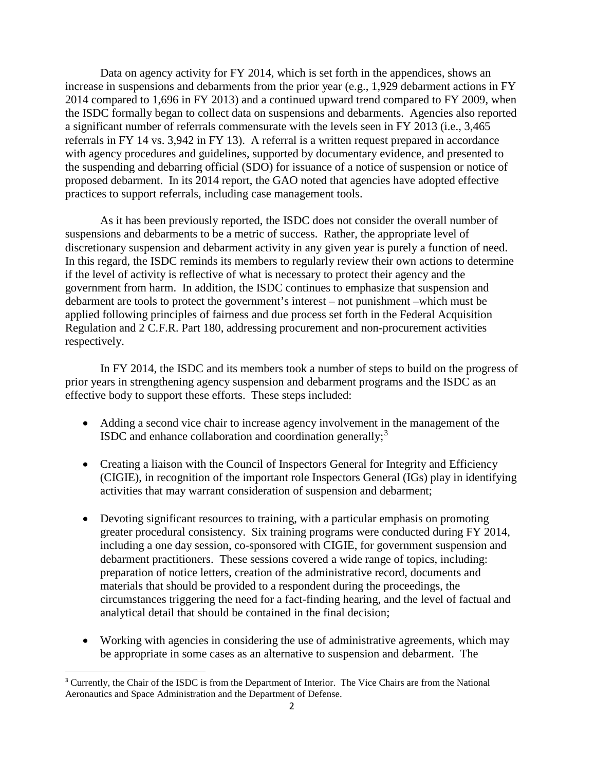Data on agency activity for FY 2014, which is set forth in the appendices, shows an increase in suspensions and debarments from the prior year (e.g., 1,929 debarment actions in FY 2014 compared to 1,696 in FY 2013) and a continued upward trend compared to FY 2009, when the ISDC formally began to collect data on suspensions and debarments. Agencies also reported a significant number of referrals commensurate with the levels seen in FY 2013 (i.e., 3,465 referrals in FY 14 vs. 3,942 in FY 13). A referral is a written request prepared in accordance with agency procedures and guidelines, supported by documentary evidence, and presented to the suspending and debarring official (SDO) for issuance of a notice of suspension or notice of proposed debarment. In its 2014 report, the GAO noted that agencies have adopted effective practices to support referrals, including case management tools.

As it has been previously reported, the ISDC does not consider the overall number of suspensions and debarments to be a metric of success. Rather, the appropriate level of discretionary suspension and debarment activity in any given year is purely a function of need. In this regard, the ISDC reminds its members to regularly review their own actions to determine if the level of activity is reflective of what is necessary to protect their agency and the government from harm. In addition, the ISDC continues to emphasize that suspension and debarment are tools to protect the government's interest – not punishment –which must be applied following principles of fairness and due process set forth in the Federal Acquisition Regulation and 2 C.F.R. Part 180, addressing procurement and non-procurement activities respectively.

In FY 2014, the ISDC and its members took a number of steps to build on the progress of prior years in strengthening agency suspension and debarment programs and the ISDC as an effective body to support these efforts. These steps included:

- Adding a second vice chair to increase agency involvement in the management of the ISDC and enhance collaboration and coordination generally;<sup>[3](#page-1-0)</sup>
- Creating a liaison with the Council of Inspectors General for Integrity and Efficiency (CIGIE), in recognition of the important role Inspectors General (IGs) play in identifying activities that may warrant consideration of suspension and debarment;
- Devoting significant resources to training, with a particular emphasis on promoting greater procedural consistency. Six training programs were conducted during FY 2014, including a one day session, co-sponsored with CIGIE, for government suspension and debarment practitioners. These sessions covered a wide range of topics, including: preparation of notice letters, creation of the administrative record, documents and materials that should be provided to a respondent during the proceedings, the circumstances triggering the need for a fact-finding hearing, and the level of factual and analytical detail that should be contained in the final decision;
- Working with agencies in considering the use of administrative agreements, which may be appropriate in some cases as an alternative to suspension and debarment. The

**.** 

<span id="page-1-0"></span><sup>&</sup>lt;sup>3</sup> Currently, the Chair of the ISDC is from the Department of Interior. The Vice Chairs are from the National Aeronautics and Space Administration and the Department of Defense.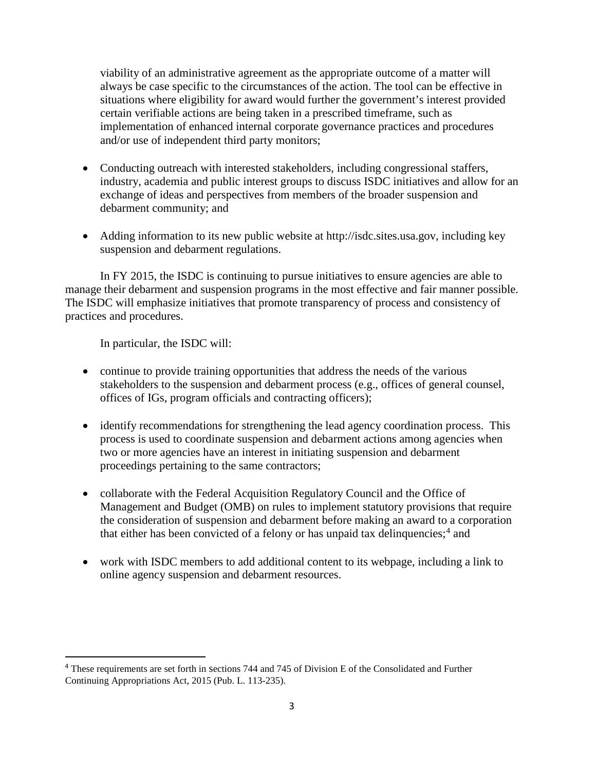viability of an administrative agreement as the appropriate outcome of a matter will always be case specific to the circumstances of the action. The tool can be effective in situations where eligibility for award would further the government's interest provided certain verifiable actions are being taken in a prescribed timeframe, such as implementation of enhanced internal corporate governance practices and procedures and/or use of independent third party monitors;

- Conducting outreach with interested stakeholders, including congressional staffers, industry, academia and public interest groups to discuss ISDC initiatives and allow for an exchange of ideas and perspectives from members of the broader suspension and debarment community; and
- Adding information to its new public website at http://isdc.sites.usa.gov, including key suspension and debarment regulations.

In FY 2015, the ISDC is continuing to pursue initiatives to ensure agencies are able to manage their debarment and suspension programs in the most effective and fair manner possible. The ISDC will emphasize initiatives that promote transparency of process and consistency of practices and procedures.

In particular, the ISDC will:

**.** 

- continue to provide training opportunities that address the needs of the various stakeholders to the suspension and debarment process (e.g., offices of general counsel, offices of IGs, program officials and contracting officers);
- identify recommendations for strengthening the lead agency coordination process. This process is used to coordinate suspension and debarment actions among agencies when two or more agencies have an interest in initiating suspension and debarment proceedings pertaining to the same contractors;
- collaborate with the Federal Acquisition Regulatory Council and the Office of Management and Budget (OMB) on rules to implement statutory provisions that require the consideration of suspension and debarment before making an award to a corporation that either has been convicted of a felony or has unpaid tax delinquencies;<sup>[4](#page-2-0)</sup> and
- work with ISDC members to add additional content to its webpage, including a link to online agency suspension and debarment resources.

<span id="page-2-0"></span><sup>4</sup> These requirements are set forth in sections 744 and 745 of Division E of the Consolidated and Further Continuing Appropriations Act, 2015 (Pub. L. 113-235).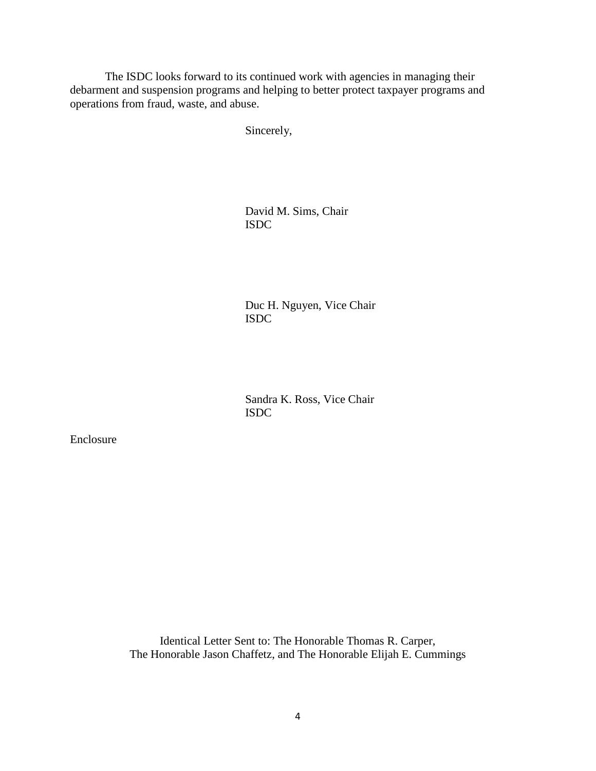The ISDC looks forward to its continued work with agencies in managing their debarment and suspension programs and helping to better protect taxpayer programs and operations from fraud, waste, and abuse.

Sincerely,

David M. Sims, Chair ISDC

Duc H. Nguyen, Vice Chair ISDC

Sandra K. Ross, Vice Chair ISDC

Enclosure

Identical Letter Sent to: The Honorable Thomas R. Carper, The Honorable Jason Chaffetz, and The Honorable Elijah E. Cummings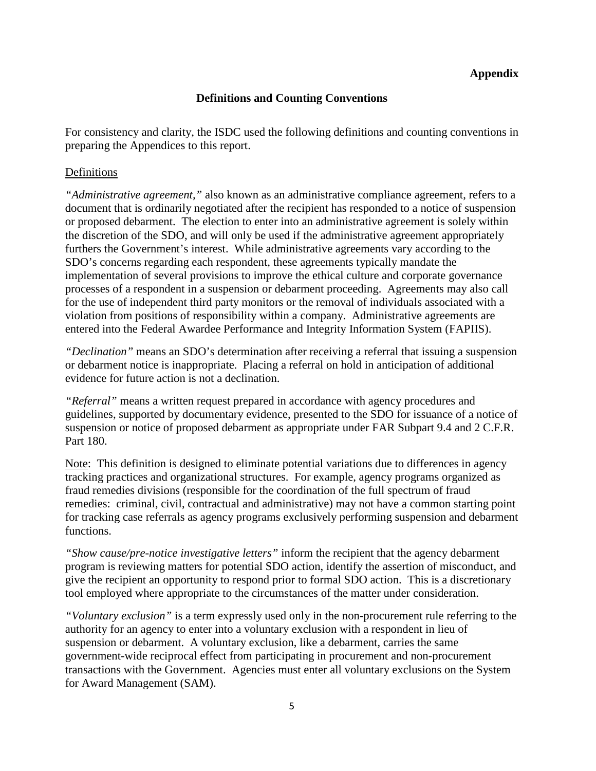# **Appendix**

# **Definitions and Counting Conventions**

For consistency and clarity, the ISDC used the following definitions and counting conventions in preparing the Appendices to this report.

# Definitions

*"Administrative agreement,"* also known as an administrative compliance agreement, refers to a document that is ordinarily negotiated after the recipient has responded to a notice of suspension or proposed debarment. The election to enter into an administrative agreement is solely within the discretion of the SDO, and will only be used if the administrative agreement appropriately furthers the Government's interest. While administrative agreements vary according to the SDO's concerns regarding each respondent, these agreements typically mandate the implementation of several provisions to improve the ethical culture and corporate governance processes of a respondent in a suspension or debarment proceeding. Agreements may also call for the use of independent third party monitors or the removal of individuals associated with a violation from positions of responsibility within a company. Administrative agreements are entered into the Federal Awardee Performance and Integrity Information System (FAPIIS).

*"Declination"* means an SDO's determination after receiving a referral that issuing a suspension or debarment notice is inappropriate. Placing a referral on hold in anticipation of additional evidence for future action is not a declination.

*"Referral"* means a written request prepared in accordance with agency procedures and guidelines, supported by documentary evidence, presented to the SDO for issuance of a notice of suspension or notice of proposed debarment as appropriate under FAR Subpart 9.4 and 2 C.F.R. Part 180.

Note: This definition is designed to eliminate potential variations due to differences in agency tracking practices and organizational structures. For example, agency programs organized as fraud remedies divisions (responsible for the coordination of the full spectrum of fraud remedies: criminal, civil, contractual and administrative) may not have a common starting point for tracking case referrals as agency programs exclusively performing suspension and debarment functions.

*"Show cause/pre-notice investigative letters"* inform the recipient that the agency debarment program is reviewing matters for potential SDO action, identify the assertion of misconduct, and give the recipient an opportunity to respond prior to formal SDO action. This is a discretionary tool employed where appropriate to the circumstances of the matter under consideration.

*"Voluntary exclusion"* is a term expressly used only in the non-procurement rule referring to the authority for an agency to enter into a voluntary exclusion with a respondent in lieu of suspension or debarment. A voluntary exclusion, like a debarment, carries the same government-wide reciprocal effect from participating in procurement and non-procurement transactions with the Government. Agencies must enter all voluntary exclusions on the System for Award Management (SAM).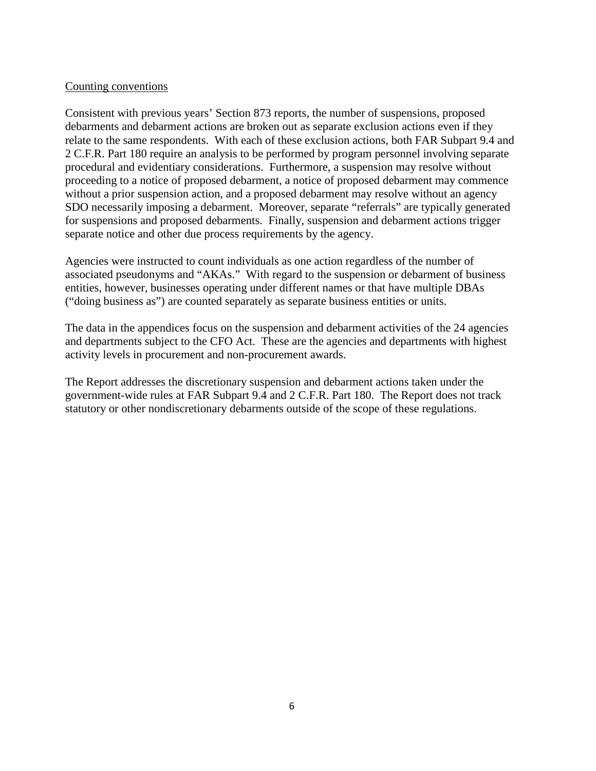#### Counting conventions

Consistent with previous years' Section 873 reports, the number of suspensions, proposed debarments and debarment actions are broken out as separate exclusion actions even if they relate to the same respondents. With each of these exclusion actions, both FAR Subpart 9.4 and 2 C.F.R. Part 180 require an analysis to be performed by program personnel involving separate procedural and evidentiary considerations. Furthermore, a suspension may resolve without proceeding to a notice of proposed debarment, a notice of proposed debarment may commence without a prior suspension action, and a proposed debarment may resolve without an agency SDO necessarily imposing a debarment. Moreover, separate "referrals" are typically generated for suspensions and proposed debarments. Finally, suspension and debarment actions trigger separate notice and other due process requirements by the agency.

Agencies were instructed to count individuals as one action regardless of the number of associated pseudonyms and "AKAs." With regard to the suspension or debarment of business entities, however, businesses operating under different names or that have multiple DBAs ("doing business as") are counted separately as separate business entities or units.

The data in the appendices focus on the suspension and debarment activities of the 24 agencies and departments subject to the CFO Act. These are the agencies and departments with highest activity levels in procurement and non-procurement awards.

The Report addresses the discretionary suspension and debarment actions taken under the government-wide rules at FAR Subpart 9.4 and 2 C.F.R. Part 180. The Report does not track statutory or other nondiscretionary debarments outside of the scope of these regulations.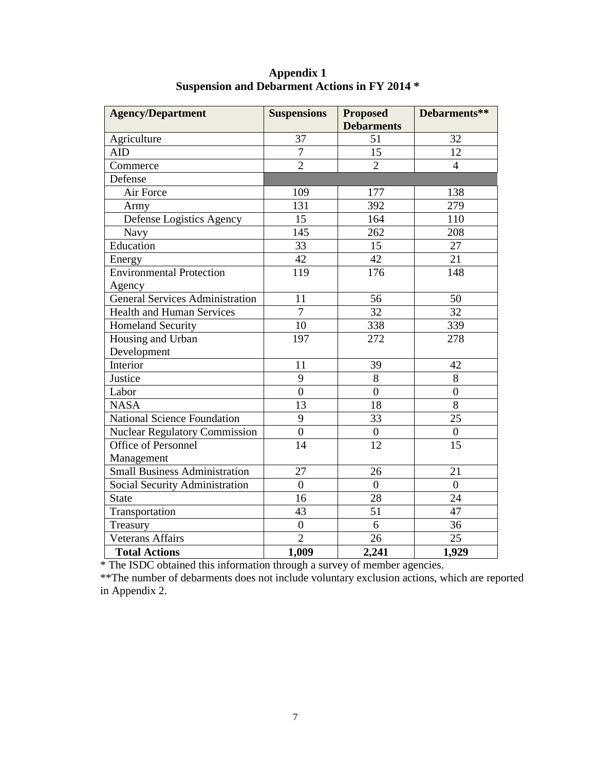| <b>Agency/Department</b>               | <b>Suspensions</b> | <b>Proposed</b>   | Debarments**     |  |
|----------------------------------------|--------------------|-------------------|------------------|--|
|                                        |                    | <b>Debarments</b> |                  |  |
| Agriculture                            | 37                 | 51                | 32               |  |
| <b>AID</b>                             | $\overline{7}$     | 15                | 12               |  |
| Commerce                               | $\overline{2}$     | $\overline{2}$    | $\overline{4}$   |  |
| Defense                                |                    |                   |                  |  |
| Air Force                              | 109                | 177               | 138              |  |
| Army                                   | 131                | 392               | 279              |  |
| Defense Logistics Agency               | 15                 | 164               | 110              |  |
| <b>Navy</b>                            | 145                | 262               | 208              |  |
| Education                              | 33                 | 15                | 27               |  |
| Energy                                 | 42                 | 42                | 21               |  |
| <b>Environmental Protection</b>        | 119                | 176               | 148              |  |
| Agency                                 |                    |                   |                  |  |
| <b>General Services Administration</b> | 11                 | 56                | 50               |  |
| <b>Health and Human Services</b>       | $\overline{7}$     | $\overline{32}$   | 32               |  |
| <b>Homeland Security</b>               | 10                 | 338               | 339              |  |
| Housing and Urban                      | 197                | 272               | 278              |  |
| Development                            |                    |                   |                  |  |
| Interior                               | 11                 | 39                | 42               |  |
| Justice                                | 9                  | 8                 | 8                |  |
| Labor                                  | $\overline{0}$     | $\overline{0}$    | $\overline{0}$   |  |
| <b>NASA</b>                            | 13                 | 18                | 8                |  |
| <b>National Science Foundation</b>     | 9                  | $\overline{33}$   | $\overline{25}$  |  |
| <b>Nuclear Regulatory Commission</b>   | $\overline{0}$     | $\boldsymbol{0}$  | $\boldsymbol{0}$ |  |
| <b>Office of Personnel</b>             | 14                 | $\overline{12}$   | $\overline{15}$  |  |
| Management                             |                    |                   |                  |  |
| <b>Small Business Administration</b>   | 27                 | 26                | 21               |  |
| Social Security Administration         | $\overline{0}$     | $\overline{0}$    | $\overline{0}$   |  |
| <b>State</b>                           | 16                 | $\overline{28}$   | 24               |  |
| Transportation                         | 43                 | 51                | 47               |  |
| Treasury                               | $\boldsymbol{0}$   | 6                 | 36               |  |
| <b>Veterans Affairs</b>                | $\overline{2}$     | 26                | $\overline{25}$  |  |
| <b>Total Actions</b>                   | 1,009              | 2,241             | 1,929            |  |

**Appendix 1 Suspension and Debarment Actions in FY 2014 \*** 

\* The ISDC obtained this information through a survey of member agencies.

\*\*The number of debarments does not include voluntary exclusion actions, which are reported in Appendix 2.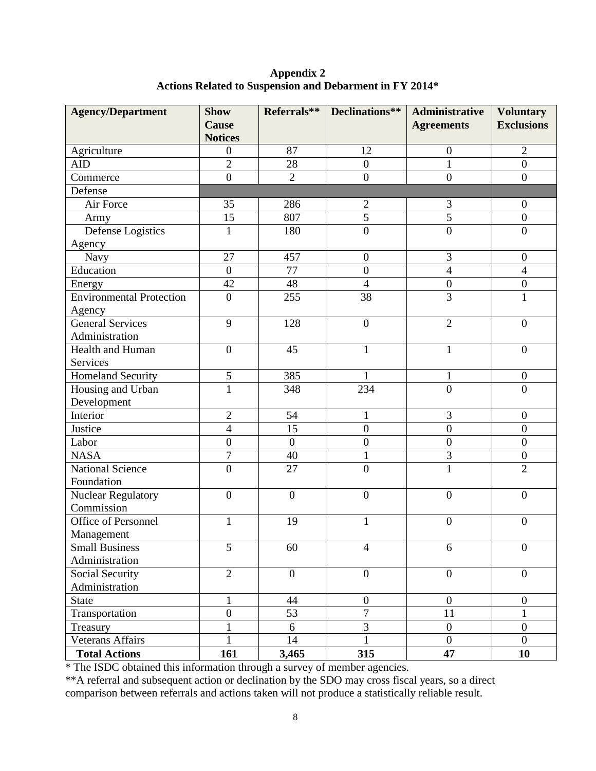**Appendix 2 Actions Related to Suspension and Debarment in FY 2014\***

| <b>Agency/Department</b>        | <b>Show</b><br><b>Cause</b> |                  | Referrals**   Declinations** | Administrative<br><b>Agreements</b> | <b>Voluntary</b><br><b>Exclusions</b> |
|---------------------------------|-----------------------------|------------------|------------------------------|-------------------------------------|---------------------------------------|
|                                 | <b>Notices</b>              |                  |                              |                                     |                                       |
| Agriculture                     | $\boldsymbol{0}$            | 87               | 12                           | $\boldsymbol{0}$                    | $\overline{2}$                        |
| <b>AID</b>                      | $\overline{2}$              | 28               | $\overline{0}$               | $\mathbf{1}$                        | $\overline{0}$                        |
| Commerce                        | $\overline{0}$              | $\overline{2}$   | $\overline{0}$               | $\overline{0}$                      | $\overline{0}$                        |
| Defense                         |                             |                  |                              |                                     |                                       |
| Air Force                       | 35                          | 286              | $\boldsymbol{2}$             | 3                                   | $\boldsymbol{0}$                      |
| Army                            | 15                          | 807              | $\overline{5}$               | 5                                   | $\overline{0}$                        |
| Defense Logistics               | $\mathbf{1}$                | 180              | $\overline{0}$               | $\boldsymbol{0}$                    | $\boldsymbol{0}$                      |
| Agency                          |                             |                  |                              |                                     |                                       |
| Navy                            | 27                          | 457              | $\boldsymbol{0}$             | 3                                   | $\boldsymbol{0}$                      |
| Education                       | $\boldsymbol{0}$            | 77               | $\overline{0}$               | $\overline{4}$                      | $\overline{4}$                        |
| Energy                          | 42                          | 48               | $\overline{4}$               | $\boldsymbol{0}$                    | $\boldsymbol{0}$                      |
| <b>Environmental Protection</b> | $\boldsymbol{0}$            | 255              | 38                           | $\overline{3}$                      | $\mathbf{1}$                          |
| Agency                          |                             |                  |                              |                                     |                                       |
| General Services                | 9                           | 128              | $\overline{0}$               | $\overline{2}$                      | $\overline{0}$                        |
| Administration                  |                             |                  |                              |                                     |                                       |
| Health and Human                | $\boldsymbol{0}$            | 45               | $\mathbf{1}$                 | $\mathbf{1}$                        | $\boldsymbol{0}$                      |
| Services                        |                             |                  |                              |                                     |                                       |
| <b>Homeland Security</b>        | 5                           | 385              | 1                            | $\mathbf{1}$                        | $\boldsymbol{0}$                      |
| Housing and Urban               | $\mathbf{1}$                | 348              | 234                          | $\overline{0}$                      | $\overline{0}$                        |
| Development                     |                             |                  |                              |                                     |                                       |
| Interior                        | $\overline{2}$              | 54               | $\mathbf{1}$                 | 3                                   | $\boldsymbol{0}$                      |
| Justice                         | $\overline{4}$              | 15               | $\overline{0}$               | $\overline{0}$                      | $\overline{0}$                        |
| Labor                           | $\overline{0}$              | $\boldsymbol{0}$ | $\boldsymbol{0}$             | $\boldsymbol{0}$                    | $\boldsymbol{0}$                      |
| <b>NASA</b>                     | 7                           | 40               | $\mathbf{1}$                 | 3                                   | $\boldsymbol{0}$                      |
| <b>National Science</b>         | $\overline{0}$              | 27               | $\overline{0}$               | $\mathbf{1}$                        | $\overline{2}$                        |
| Foundation                      |                             |                  |                              |                                     |                                       |
| Nuclear Regulatory              | $\boldsymbol{0}$            | $\overline{0}$   | $\boldsymbol{0}$             | $\boldsymbol{0}$                    | $\overline{0}$                        |
| Commission                      |                             |                  |                              |                                     |                                       |
| Office of Personnel             | $\mathbf{1}$                | 19               | $\mathbf{1}$                 | $\boldsymbol{0}$                    | $\boldsymbol{0}$                      |
| Management                      |                             |                  |                              |                                     |                                       |
| <b>Small Business</b>           | 5                           | 60               | $\overline{4}$               | 6                                   | $\overline{0}$                        |
| Administration                  |                             |                  |                              |                                     |                                       |
| Social Security                 | $\overline{2}$              | $\boldsymbol{0}$ | $\overline{0}$               | $\overline{0}$                      | $\overline{0}$                        |
| Administration                  |                             |                  |                              |                                     |                                       |
| <b>State</b>                    | $\mathbf{1}$                | 44               | $\boldsymbol{0}$             | $\boldsymbol{0}$                    | $\boldsymbol{0}$                      |
| Transportation                  | $\boldsymbol{0}$            | 53               | $\tau$                       | 11                                  | $\mathbf{1}$                          |
| Treasury                        | 1                           | 6                | 3                            | $\boldsymbol{0}$                    | $\boldsymbol{0}$                      |
| Veterans Affairs                |                             | 14               | $\mathbf{1}$                 | $\overline{0}$                      | $\overline{0}$                        |
| <b>Total Actions</b>            | 161                         | 3,465            | 315                          | 47                                  | 10                                    |

\* The ISDC obtained this information through a survey of member agencies.

\*\*A referral and subsequent action or declination by the SDO may cross fiscal years, so a direct comparison between referrals and actions taken will not produce a statistically reliable result.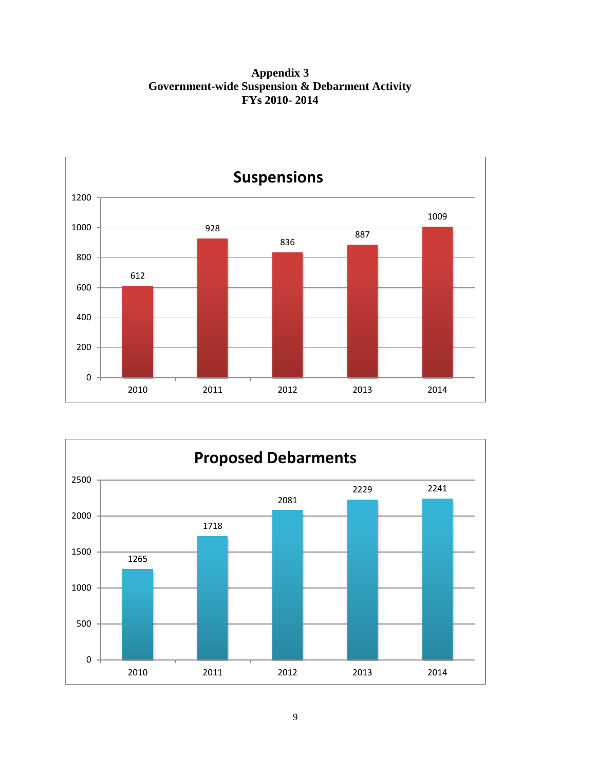**Appendix 3 Government-wide Suspension & Debarment Activity FYs 2010- 2014**